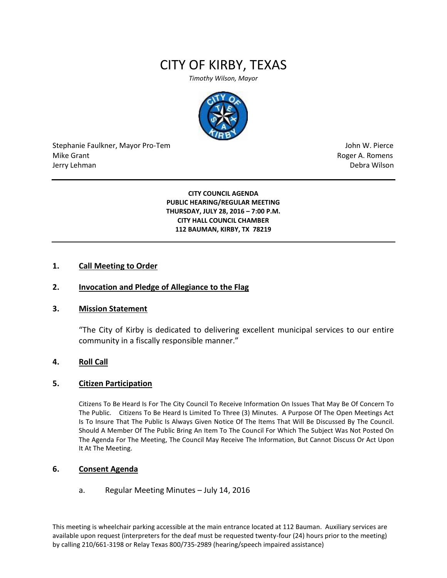# CITY OF KIRBY, TEXAS

*Timothy Wilson, Mayor*



Stephanie Faulkner, Mayor Pro-Tem John W. Pierce Mike Grant **Mike Grant** Roger A. Romens **Contract A. Romens Roger A. Romens** Jerry Lehman Debra Wilson (2008) and the state of the state of the state of the state of the state of the state of the state of the state of the state of the state of the state of the state of the state of the state of the

**CITY COUNCIL AGENDA PUBLIC HEARING/REGULAR MEETING THURSDAY, JULY 28, 2016 – 7:00 P.M. CITY HALL COUNCIL CHAMBER 112 BAUMAN, KIRBY, TX 78219**

## **1. Call Meeting to Order**

## **2. Invocation and Pledge of Allegiance to the Flag**

### **3. Mission Statement**

"The City of Kirby is dedicated to delivering excellent municipal services to our entire community in a fiscally responsible manner."

## **4. Roll Call**

### **5. Citizen Participation**

Citizens To Be Heard Is For The City Council To Receive Information On Issues That May Be Of Concern To The Public. Citizens To Be Heard Is Limited To Three (3) Minutes. A Purpose Of The Open Meetings Act Is To Insure That The Public Is Always Given Notice Of The Items That Will Be Discussed By The Council. Should A Member Of The Public Bring An Item To The Council For Which The Subject Was Not Posted On The Agenda For The Meeting, The Council May Receive The Information, But Cannot Discuss Or Act Upon It At The Meeting.

## **6. Consent Agenda**

## a. Regular Meeting Minutes – July 14, 2016

This meeting is wheelchair parking accessible at the main entrance located at 112 Bauman. Auxiliary services are available upon request (interpreters for the deaf must be requested twenty-four (24) hours prior to the meeting) by calling 210/661-3198 or Relay Texas 800/735-2989 (hearing/speech impaired assistance)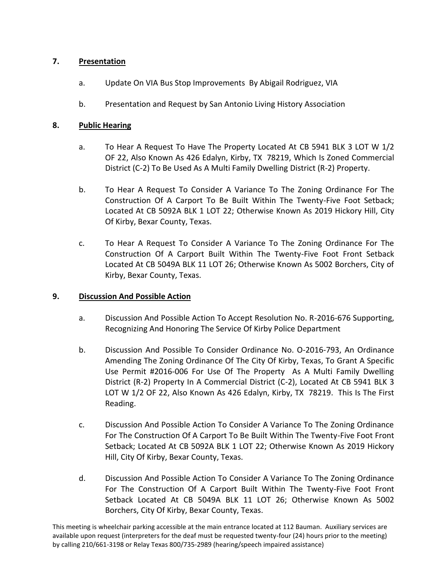## **7. Presentation**

- a. Update On VIA Bus Stop Improvements By Abigail Rodriguez, VIA
- b. Presentation and Request by San Antonio Living History Association

## **8. Public Hearing**

- a. To Hear A Request To Have The Property Located At CB 5941 BLK 3 LOT W 1/2 OF 22, Also Known As 426 Edalyn, Kirby, TX 78219, Which Is Zoned Commercial District (C-2) To Be Used As A Multi Family Dwelling District (R-2) Property.
- b. To Hear A Request To Consider A Variance To The Zoning Ordinance For The Construction Of A Carport To Be Built Within The Twenty-Five Foot Setback; Located At CB 5092A BLK 1 LOT 22; Otherwise Known As 2019 Hickory Hill, City Of Kirby, Bexar County, Texas.
- c. To Hear A Request To Consider A Variance To The Zoning Ordinance For The Construction Of A Carport Built Within The Twenty-Five Foot Front Setback Located At CB 5049A BLK 11 LOT 26; Otherwise Known As 5002 Borchers, City of Kirby, Bexar County, Texas.

## **9. Discussion And Possible Action**

- a. Discussion And Possible Action To Accept Resolution No. R-2016-676 Supporting, Recognizing And Honoring The Service Of Kirby Police Department
- b. Discussion And Possible To Consider Ordinance No. O-2016-793, An Ordinance Amending The Zoning Ordinance Of The City Of Kirby, Texas, To Grant A Specific Use Permit #2016-006 For Use Of The Property As A Multi Family Dwelling District (R-2) Property In A Commercial District (C-2), Located At CB 5941 BLK 3 LOT W 1/2 OF 22, Also Known As 426 Edalyn, Kirby, TX 78219. This Is The First Reading.
- c. Discussion And Possible Action To Consider A Variance To The Zoning Ordinance For The Construction Of A Carport To Be Built Within The Twenty-Five Foot Front Setback; Located At CB 5092A BLK 1 LOT 22; Otherwise Known As 2019 Hickory Hill, City Of Kirby, Bexar County, Texas.
- d. Discussion And Possible Action To Consider A Variance To The Zoning Ordinance For The Construction Of A Carport Built Within The Twenty-Five Foot Front Setback Located At CB 5049A BLK 11 LOT 26; Otherwise Known As 5002 Borchers, City Of Kirby, Bexar County, Texas.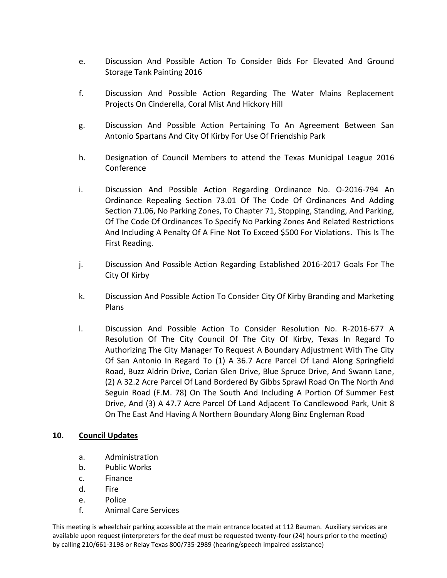- e. Discussion And Possible Action To Consider Bids For Elevated And Ground Storage Tank Painting 2016
- f. Discussion And Possible Action Regarding The Water Mains Replacement Projects On Cinderella, Coral Mist And Hickory Hill
- g. Discussion And Possible Action Pertaining To An Agreement Between San Antonio Spartans And City Of Kirby For Use Of Friendship Park
- h. Designation of Council Members to attend the Texas Municipal League 2016 Conference
- i. Discussion And Possible Action Regarding Ordinance No. O-2016-794 An Ordinance Repealing Section 73.01 Of The Code Of Ordinances And Adding Section 71.06, No Parking Zones, To Chapter 71, Stopping, Standing, And Parking, Of The Code Of Ordinances To Specify No Parking Zones And Related Restrictions And Including A Penalty Of A Fine Not To Exceed \$500 For Violations. This Is The First Reading.
- j. Discussion And Possible Action Regarding Established 2016-2017 Goals For The City Of Kirby
- k. Discussion And Possible Action To Consider City Of Kirby Branding and Marketing Plans
- l. Discussion And Possible Action To Consider Resolution No. R-2016-677 A Resolution Of The City Council Of The City Of Kirby, Texas In Regard To Authorizing The City Manager To Request A Boundary Adjustment With The City Of San Antonio In Regard To (1) A 36.7 Acre Parcel Of Land Along Springfield Road, Buzz Aldrin Drive, Corian Glen Drive, Blue Spruce Drive, And Swann Lane, (2) A 32.2 Acre Parcel Of Land Bordered By Gibbs Sprawl Road On The North And Seguin Road (F.M. 78) On The South And Including A Portion Of Summer Fest Drive, And (3) A 47.7 Acre Parcel Of Land Adjacent To Candlewood Park, Unit 8 On The East And Having A Northern Boundary Along Binz Engleman Road

## **10. Council Updates**

- a. Administration
- b. Public Works
- c. Finance
- d. Fire
- e. Police
- f. Animal Care Services

This meeting is wheelchair parking accessible at the main entrance located at 112 Bauman. Auxiliary services are available upon request (interpreters for the deaf must be requested twenty-four (24) hours prior to the meeting) by calling 210/661-3198 or Relay Texas 800/735-2989 (hearing/speech impaired assistance)